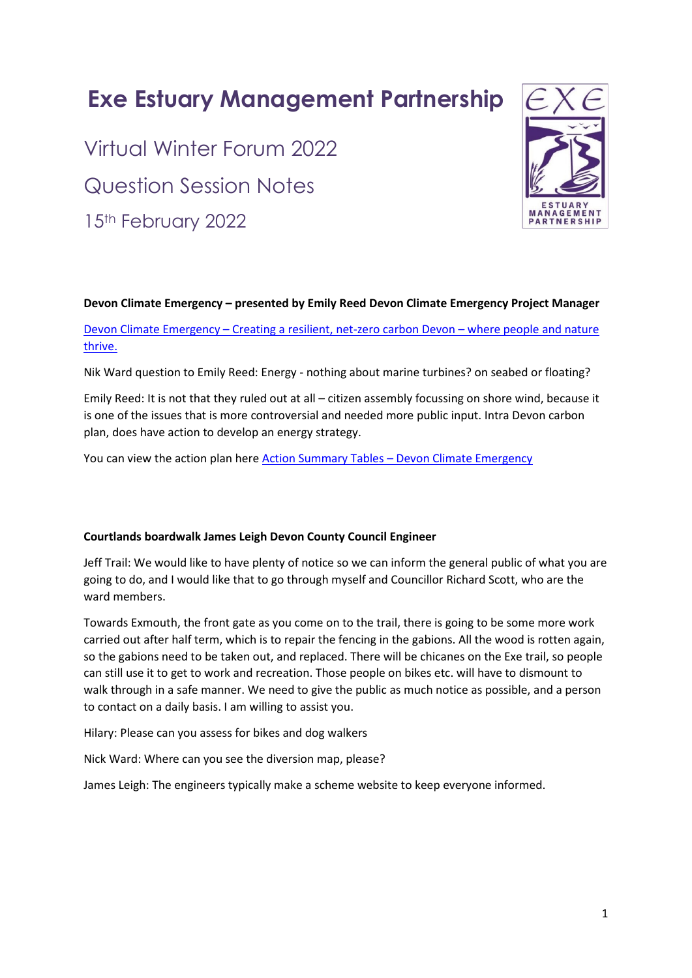# **Exe Estuary Management Partnership**

Virtual Winter Forum 2022 Question Session Notes 15th February 2022



#### **Devon Climate Emergency – presented by Emily Reed Devon Climate Emergency Project Manager**

Devon Climate Emergency – Creating a resilient, net-zero carbon Devon – where people and nature thrive.

Nik Ward question to Emily Reed: Energy - nothing about marine turbines? on seabed or floating?

Emily Reed: It is not that they ruled out at all – citizen assembly focussing on shore wind, because it is one of the issues that is more controversial and needed more public input. Intra Devon carbon plan, does have action to develop an energy strategy.

You can view the action plan here Action Summary Tables – Devon Climate Emergency

## **Courtlands boardwalk James Leigh Devon County Council Engineer**

Jeff Trail: We would like to have plenty of notice so we can inform the general public of what you are going to do, and I would like that to go through myself and Councillor Richard Scott, who are the ward members.

Towards Exmouth, the front gate as you come on to the trail, there is going to be some more work carried out after half term, which is to repair the fencing in the gabions. All the wood is rotten again, so the gabions need to be taken out, and replaced. There will be chicanes on the Exe trail, so people can still use it to get to work and recreation. Those people on bikes etc. will have to dismount to walk through in a safe manner. We need to give the public as much notice as possible, and a person to contact on a daily basis. I am willing to assist you.

Hilary: Please can you assess for bikes and dog walkers

Nick Ward: Where can you see the diversion map, please?

James Leigh: The engineers typically make a scheme website to keep everyone informed.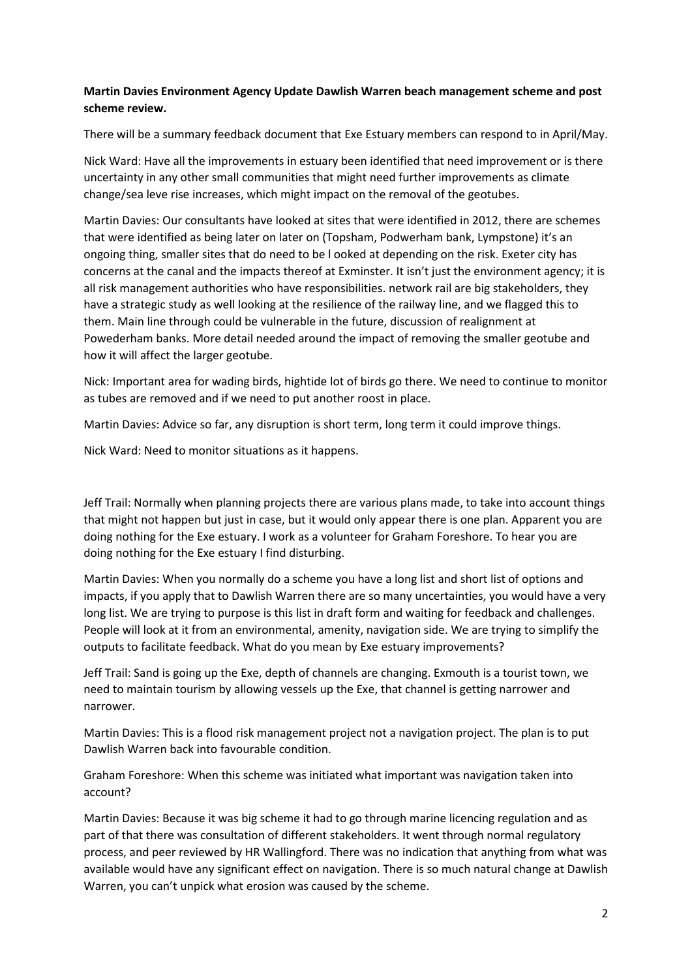## **Martin Davies Environment Agency Update Dawlish Warren beach management scheme and post scheme review.**

There will be a summary feedback document that Exe Estuary members can respond to in April/May.

Nick Ward: Have all the improvements in estuary been identified that need improvement or is there uncertainty in any other small communities that might need further improvements as climate change/sea leve rise increases, which might impact on the removal of the geotubes.

Martin Davies: Our consultants have looked at sites that were identified in 2012, there are schemes that were identified as being later on later on (Topsham, Podwerham bank, Lympstone) it's an ongoing thing, smaller sites that do need to be l ooked at depending on the risk. Exeter city has concerns at the canal and the impacts thereof at Exminster. It isn't just the environment agency; it is all risk management authorities who have responsibilities. network rail are big stakeholders, they have a strategic study as well looking at the resilience of the railway line, and we flagged this to them. Main line through could be vulnerable in the future, discussion of realignment at Powederham banks. More detail needed around the impact of removing the smaller geotube and how it will affect the larger geotube.

Nick: Important area for wading birds, hightide lot of birds go there. We need to continue to monitor as tubes are removed and if we need to put another roost in place.

Martin Davies: Advice so far, any disruption is short term, long term it could improve things.

Nick Ward: Need to monitor situations as it happens.

Jeff Trail: Normally when planning projects there are various plans made, to take into account things that might not happen but just in case, but it would only appear there is one plan. Apparent you are doing nothing for the Exe estuary. I work as a volunteer for Graham Foreshore. To hear you are doing nothing for the Exe estuary I find disturbing.

Martin Davies: When you normally do a scheme you have a long list and short list of options and impacts, if you apply that to Dawlish Warren there are so many uncertainties, you would have a very long list. We are trying to purpose is this list in draft form and waiting for feedback and challenges. People will look at it from an environmental, amenity, navigation side. We are trying to simplify the outputs to facilitate feedback. What do you mean by Exe estuary improvements?

Jeff Trail: Sand is going up the Exe, depth of channels are changing. Exmouth is a tourist town, we need to maintain tourism by allowing vessels up the Exe, that channel is getting narrower and narrower.

Martin Davies: This is a flood risk management project not a navigation project. The plan is to put Dawlish Warren back into favourable condition.

Graham Foreshore: When this scheme was initiated what important was navigation taken into account?

Martin Davies: Because it was big scheme it had to go through marine licencing regulation and as part of that there was consultation of different stakeholders. It went through normal regulatory process, and peer reviewed by HR Wallingford. There was no indication that anything from what was available would have any significant effect on navigation. There is so much natural change at Dawlish Warren, you can't unpick what erosion was caused by the scheme.